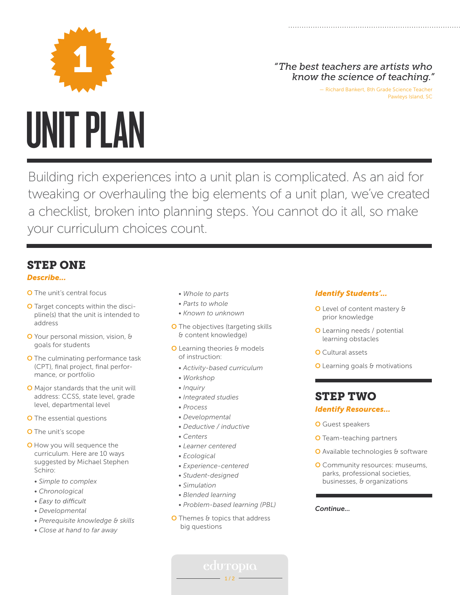

## 1 *"The best teachers are artists who know the science of teaching."*

— Richard Bankert, 8th Grade Science Teacher Pawleys Island, SC

Building rich experiences into a unit plan is complicated. As an aid for tweaking or overhauling the big elements of a unit plan, we've created a checklist, broken into planning steps. You cannot do it all, so make your curriculum choices count.

# STEP ONE

### *Describe...*

- O The unit's central focus
- O Target concepts within the disci pline(s) that the unit is intended to address
- O Your personal mission, vision, & goals for students
- O The culminating performance task (CPT), final project, final perfor mance, or portfolio
- O Major standards that the unit will address: CCSS, state level, grade level, departmental level
- O The essential questions
- **O** The unit's scope
- O How you will sequence the curriculum. Here are 10 ways suggested by Michael Stephen Schiro:
	- *Simple to complex*
	- *Chronological*
	- Easy to difficult
	- *Developmental*
	- *Prerequisite knowledge & skills*
	- *Close at hand to far away*
- *Whole to parts*
- *Parts to whole*
- *Known to unknown*
- **O** The objectives (targeting skills & content knowledge)
- **O** Learning theories & models of instruction:
	- *Activity-based curriculum*
	- *Workshop*
	- *Inquiry*
	- *Integrated studies*
	- *Process*
	- *Developmental*
	- *Deductive / inductive*
	- *Centers*
	- *Learner centered*
	- *Ecological*
	- *Experience-centered*
	- *Student-designed*
	- *Simulation*
- *Blended learning*
- *Problem-based learning (PBL)*
- O Themes & topics that address big questions

 $-1/2 -$ 

### *Identify Students'...*

- O Level of content mastery & prior knowledge
- O Learning needs / potential learning obstacles
- **O** Cultural assets
- O Learning goals & motivations

# STEP TWO

### *Identify Resources...*

- **O** Guest speakers
- O Team-teaching partners
- O Available technologies & software
- O Community resources: museums, parks, professional societies, businesses, & organizations

*Continue...*